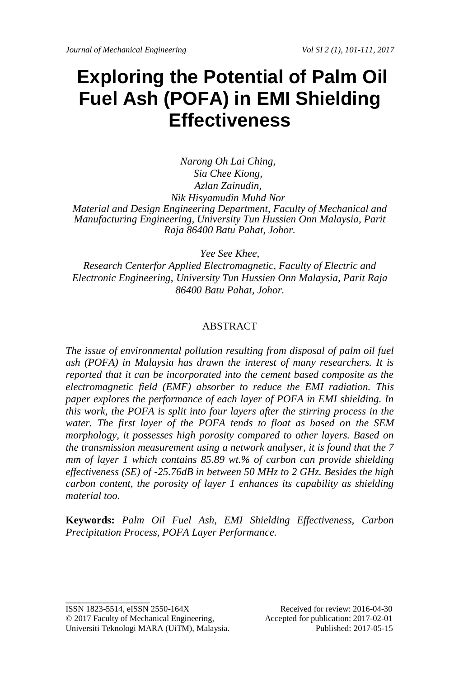# **Exploring the Potential of Palm Oil Fuel Ash (POFA) in EMI Shielding Effectiveness**

*Narong Oh Lai Ching, Sia Chee Kiong, Azlan Zainudin, Nik Hisyamudin Muhd Nor Material and Design Engineering Department, Faculty of Mechanical and Manufacturing Engineering, University Tun Hussien Onn Malaysia, Parit Raja 86400 Batu Pahat, Johor.*

*Yee See Khee,*

*Research Centerfor Applied Electromagnetic, Faculty of Electric and Electronic Engineering, University Tun Hussien Onn Malaysia, Parit Raja 86400 Batu Pahat, Johor.*

#### ABSTRACT

*The issue of environmental pollution resulting from disposal of palm oil fuel ash (POFA) in Malaysia has drawn the interest of many researchers. It is reported that it can be incorporated into the cement based composite as the electromagnetic field (EMF) absorber to reduce the EMI radiation. This paper explores the performance of each layer of POFA in EMI shielding. In this work, the POFA is split into four layers after the stirring process in the water. The first layer of the POFA tends to float as based on the SEM morphology, it possesses high porosity compared to other layers. Based on the transmission measurement using a network analyser, it is found that the 7 mm of layer 1 which contains 85.89 wt.% of carbon can provide shielding effectiveness (SE) of -25.76dB in between 50 MHz to 2 GHz. Besides the high carbon content, the porosity of layer 1 enhances its capability as shielding material too.* 

**Keywords:** *Palm Oil Fuel Ash, EMI Shielding Effectiveness, Carbon Precipitation Process, POFA Layer Performance.*

ISSN 1823-5514, eISSN 2550-164X Received for review: 2016-04-30 © 2017 Faculty of Mechanical Engineering, Accepted for publication: 2017-02-01 Universiti Teknologi MARA (UiTM), Malaysia. Published: 2017-05-15

\_\_\_\_\_\_\_\_\_\_\_\_\_\_\_\_\_\_\_\_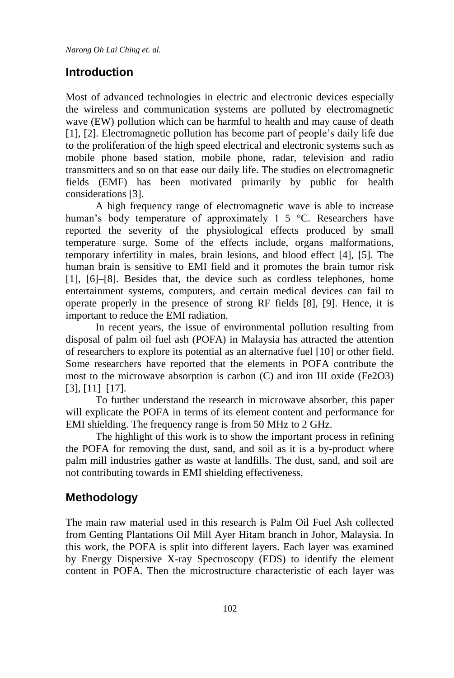*Narong Oh Lai Ching et. al.*

#### **Introduction**

Most of advanced technologies in electric and electronic devices especially the wireless and communication systems are polluted by electromagnetic wave (EW) pollution which can be harmful to health and may cause of death [1], [2]. Electromagnetic pollution has become part of people's daily life due to the proliferation of the high speed electrical and electronic systems such as mobile phone based station, mobile phone, radar, television and radio transmitters and so on that ease our daily life. The studies on electromagnetic fields (EMF) has been motivated primarily by public for health considerations [3].

A high frequency range of electromagnetic wave is able to increase human's body temperature of approximately 1–5 °C. Researchers have reported the severity of the physiological effects produced by small temperature surge. Some of the effects include, organs malformations, temporary infertility in males, brain lesions, and blood effect [4], [5]. The human brain is sensitive to EMI field and it promotes the brain tumor risk [1], [6]–[8]. Besides that, the device such as cordless telephones, home entertainment systems, computers, and certain medical devices can fail to operate properly in the presence of strong RF fields [8], [9]. Hence, it is important to reduce the EMI radiation.

In recent years, the issue of environmental pollution resulting from disposal of palm oil fuel ash (POFA) in Malaysia has attracted the attention of researchers to explore its potential as an alternative fuel [10] or other field. Some researchers have reported that the elements in POFA contribute the most to the microwave absorption is carbon (C) and iron III oxide (Fe2O3) [3], [11]–[17].

To further understand the research in microwave absorber, this paper will explicate the POFA in terms of its element content and performance for EMI shielding. The frequency range is from 50 MHz to 2 GHz.

The highlight of this work is to show the important process in refining the POFA for removing the dust, sand, and soil as it is a by-product where palm mill industries gather as waste at landfills. The dust, sand, and soil are not contributing towards in EMI shielding effectiveness.

### **Methodology**

The main raw material used in this research is Palm Oil Fuel Ash collected from Genting Plantations Oil Mill Ayer Hitam branch in Johor, Malaysia. In this work, the POFA is split into different layers. Each layer was examined by Energy Dispersive X-ray Spectroscopy (EDS) to identify the element content in POFA. Then the microstructure characteristic of each layer was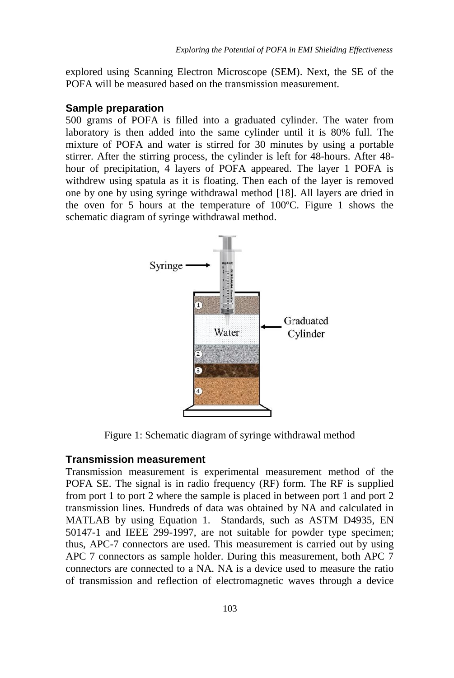explored using Scanning Electron Microscope (SEM). Next, the SE of the POFA will be measured based on the transmission measurement.

#### **Sample preparation**

500 grams of POFA is filled into a graduated cylinder. The water from laboratory is then added into the same cylinder until it is 80% full. The mixture of POFA and water is stirred for 30 minutes by using a portable stirrer. After the stirring process, the cylinder is left for 48-hours. After 48 hour of precipitation, 4 layers of POFA appeared. The layer 1 POFA is withdrew using spatula as it is floating. Then each of the layer is removed one by one by using syringe withdrawal method [18]. All layers are dried in the oven for 5 hours at the temperature of 100ºC. Figure 1 shows the schematic diagram of syringe withdrawal method.



Figure 1: Schematic diagram of syringe withdrawal method

#### **Transmission measurement**

Transmission measurement is experimental measurement method of the POFA SE. The signal is in radio frequency (RF) form. The RF is supplied from port 1 to port 2 where the sample is placed in between port 1 and port 2 transmission lines. Hundreds of data was obtained by NA and calculated in MATLAB by using Equation 1. Standards, such as ASTM D4935, EN 50147-1 and IEEE 299-1997, are not suitable for powder type specimen; thus, APC-7 connectors are used. This measurement is carried out by using APC 7 connectors as sample holder. During this measurement, both APC 7 connectors are connected to a NA. NA is a device used to measure the ratio of transmission and reflection of electromagnetic waves through a device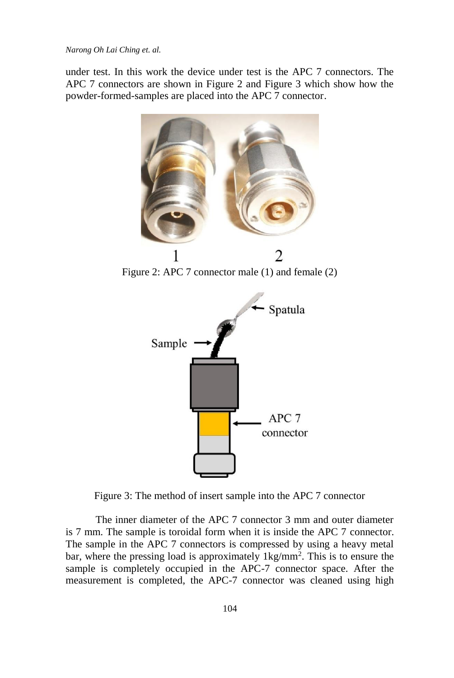*Narong Oh Lai Ching et. al.*

under test. In this work the device under test is the APC 7 connectors. The APC 7 connectors are shown in Figure 2 and Figure 3 which show how the powder-formed-samples are placed into the APC 7 connector.



Figure 2: APC 7 connector male (1) and female (2)



Figure 3: The method of insert sample into the APC 7 connector

The inner diameter of the APC 7 connector 3 mm and outer diameter is 7 mm. The sample is toroidal form when it is inside the APC 7 connector. The sample in the APC 7 connectors is compressed by using a heavy metal bar, where the pressing load is approximately  $1 \text{kg/mm}^2$ . This is to ensure the sample is completely occupied in the APC-7 connector space. After the measurement is completed, the APC-7 connector was cleaned using high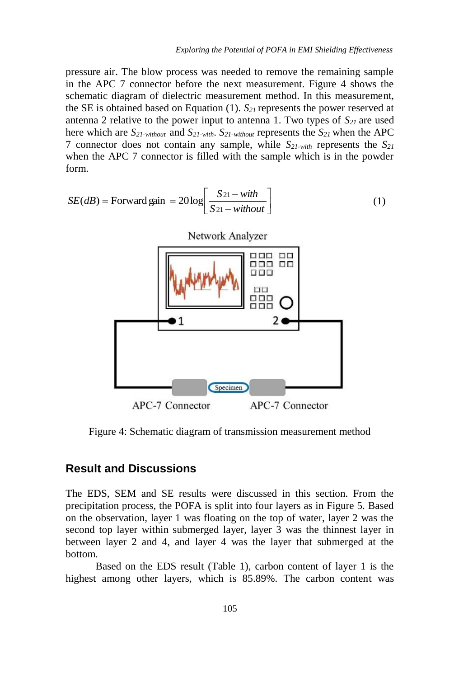pressure air. The blow process was needed to remove the remaining sample in the APC 7 connector before the next measurement. Figure 4 shows the schematic diagram of dielectric measurement method. In this measurement, the SE is obtained based on Equation (1). *S21* represents the power reserved at antenna 2 relative to the power input to antenna 1. Two types of  $S_{21}$  are used here which are *S21-without* and *S21-with*. *S21-without* represents the *S21* when the APC 7 connector does not contain any sample, while *S21-with* represents the *S<sup>21</sup>* when the APC 7 connector is filled with the sample which is in the powder form.

$$
SE(dB) = \text{Forward gain} = 20 \log \left[ \frac{S_{21} - with}{S_{21} - without} \right]
$$
 (1)



Figure 4: Schematic diagram of transmission measurement method

#### **Result and Discussions**

The EDS, SEM and SE results were discussed in this section. From the precipitation process, the POFA is split into four layers as in Figure 5. Based on the observation, layer 1 was floating on the top of water, layer 2 was the second top layer within submerged layer, layer 3 was the thinnest layer in between layer 2 and 4, and layer 4 was the layer that submerged at the bottom.

Based on the EDS result (Table 1), carbon content of layer 1 is the highest among other layers, which is 85.89%. The carbon content was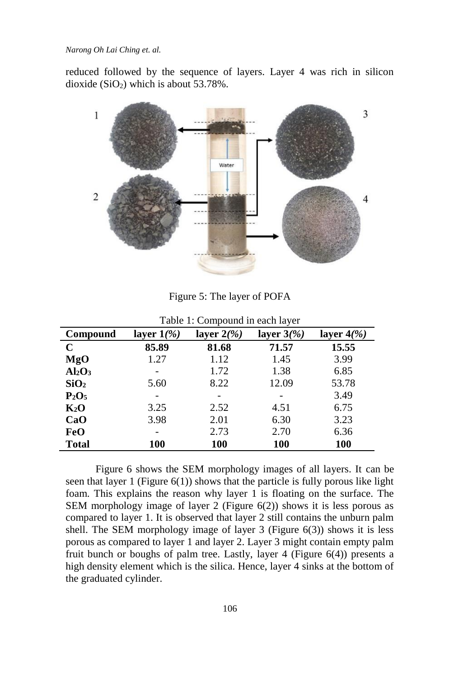*Narong Oh Lai Ching et. al.*

reduced followed by the sequence of layers. Layer 4 was rich in silicon dioxide  $(SiO<sub>2</sub>)$  which is about 53.78%.



Figure 5: The layer of POFA

| Compound                       | layer $1/\%$ | layer $2\frac{6}{9}$ | layer $3\frac{9}{6}$ | layer $4\frac{9}{9}$ |
|--------------------------------|--------------|----------------------|----------------------|----------------------|
| $\mathbf C$                    | 85.89        | 81.68                | 71.57                | 15.55                |
| MgO                            | 1.27         | 1.12                 | 1.45                 | 3.99                 |
| Al <sub>2</sub> O <sub>3</sub> |              | 1.72                 | 1.38                 | 6.85                 |
| SiO <sub>2</sub>               | 5.60         | 8.22                 | 12.09                | 53.78                |
| $P_2O_5$                       |              |                      | -                    | 3.49                 |
| $K_2O$                         | 3.25         | 2.52                 | 4.51                 | 6.75                 |
| CaO                            | 3.98         | 2.01                 | 6.30                 | 3.23                 |
| FeO                            | -            | 2.73                 | 2.70                 | 6.36                 |
| <b>Total</b>                   | 100          | 100                  | 100                  | <b>100</b>           |

Table 1: Compound in each layer

Figure 6 shows the SEM morphology images of all layers. It can be seen that layer 1 (Figure  $6(1)$ ) shows that the particle is fully porous like light foam. This explains the reason why layer 1 is floating on the surface. The SEM morphology image of layer 2 (Figure 6(2)) shows it is less porous as compared to layer 1. It is observed that layer 2 still contains the unburn palm shell. The SEM morphology image of layer 3 (Figure  $6(3)$ ) shows it is less porous as compared to layer 1 and layer 2. Layer 3 might contain empty palm fruit bunch or boughs of palm tree. Lastly, layer 4 (Figure 6(4)) presents a high density element which is the silica. Hence, layer 4 sinks at the bottom of the graduated cylinder.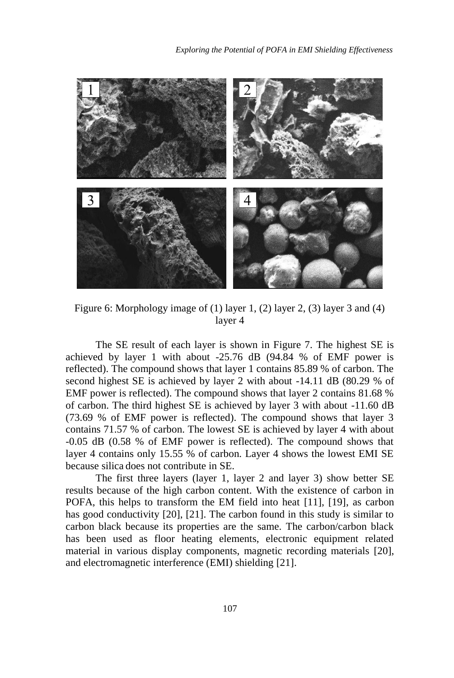

Figure 6: Morphology image of (1) layer 1, (2) layer 2, (3) layer 3 and (4) layer 4

The SE result of each layer is shown in Figure 7. The highest SE is achieved by layer 1 with about -25.76 dB (94.84 % of EMF power is reflected). The compound shows that layer 1 contains 85.89 % of carbon. The second highest SE is achieved by layer 2 with about -14.11 dB (80.29 % of EMF power is reflected). The compound shows that layer 2 contains 81.68 % of carbon. The third highest SE is achieved by layer 3 with about -11.60 dB (73.69 % of EMF power is reflected). The compound shows that layer 3 contains 71.57 % of carbon. The lowest SE is achieved by layer 4 with about -0.05 dB (0.58 % of EMF power is reflected). The compound shows that layer 4 contains only 15.55 % of carbon. Layer 4 shows the lowest EMI SE because silica does not contribute in SE.

The first three layers (layer 1, layer 2 and layer 3) show better SE results because of the high carbon content. With the existence of carbon in POFA, this helps to transform the EM field into heat [11], [19], as carbon has good conductivity [20], [21]. The carbon found in this study is similar to carbon black because its properties are the same. The carbon/carbon black has been used as floor heating elements, electronic equipment related material in various display components, magnetic recording materials [20], and electromagnetic interference (EMI) shielding [21].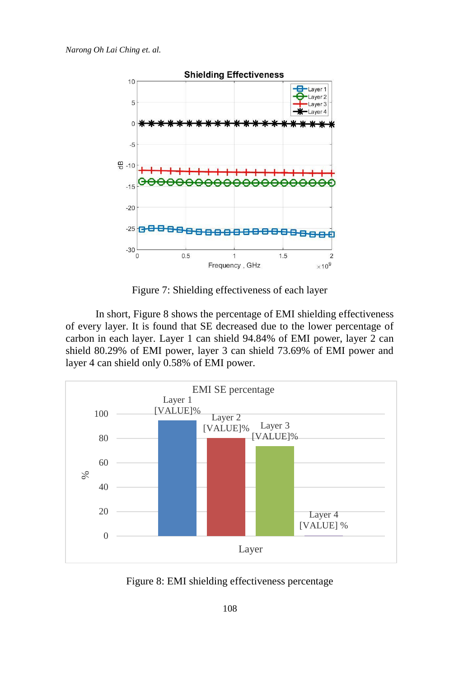

Figure 7: Shielding effectiveness of each layer

In short, Figure 8 shows the percentage of EMI shielding effectiveness of every layer. It is found that SE decreased due to the lower percentage of carbon in each layer. Layer 1 can shield 94.84% of EMI power, layer 2 can shield 80.29% of EMI power, layer 3 can shield 73.69% of EMI power and layer 4 can shield only 0.58% of EMI power.



Figure 8: EMI shielding effectiveness percentage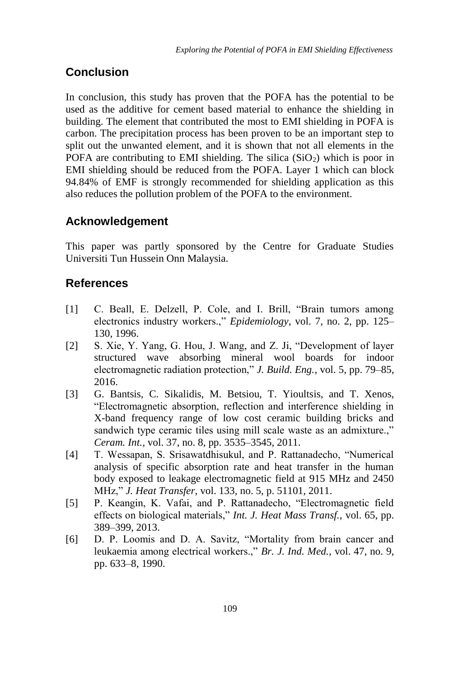## **Conclusion**

In conclusion, this study has proven that the POFA has the potential to be used as the additive for cement based material to enhance the shielding in building. The element that contributed the most to EMI shielding in POFA is carbon. The precipitation process has been proven to be an important step to split out the unwanted element, and it is shown that not all elements in the POFA are contributing to EMI shielding. The silica  $(SiO<sub>2</sub>)$  which is poor in EMI shielding should be reduced from the POFA. Layer 1 which can block 94.84% of EMF is strongly recommended for shielding application as this also reduces the pollution problem of the POFA to the environment.

## **Acknowledgement**

This paper was partly sponsored by the Centre for Graduate Studies Universiti Tun Hussein Onn Malaysia.

## **References**

- [1] C. Beall, E. Delzell, P. Cole, and I. Brill, "Brain tumors among electronics industry workers.," *Epidemiology*, vol. 7, no. 2, pp. 125– 130, 1996.
- [2] S. Xie, Y. Yang, G. Hou, J. Wang, and Z. Ji, "Development of layer structured wave absorbing mineral wool boards for indoor electromagnetic radiation protection," *J. Build. Eng.*, vol. 5, pp. 79–85, 2016.
- [3] G. Bantsis, C. Sikalidis, M. Betsiou, T. Yioultsis, and T. Xenos, "Electromagnetic absorption, reflection and interference shielding in X-band frequency range of low cost ceramic building bricks and sandwich type ceramic tiles using mill scale waste as an admixture.," *Ceram. Int.*, vol. 37, no. 8, pp. 3535–3545, 2011.
- [4] T. Wessapan, S. Srisawatdhisukul, and P. Rattanadecho, "Numerical analysis of specific absorption rate and heat transfer in the human body exposed to leakage electromagnetic field at 915 MHz and 2450 MHz," *J. Heat Transfer*, vol. 133, no. 5, p. 51101, 2011.
- [5] P. Keangin, K. Vafai, and P. Rattanadecho, "Electromagnetic field effects on biological materials," *Int. J. Heat Mass Transf.*, vol. 65, pp. 389–399, 2013.
- [6] D. P. Loomis and D. A. Savitz, "Mortality from brain cancer and leukaemia among electrical workers.," *Br. J. Ind. Med.*, vol. 47, no. 9, pp. 633–8, 1990.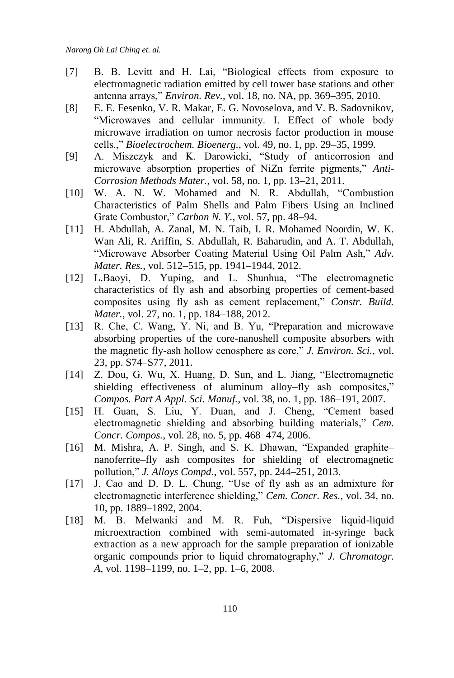- [7] B. B. Levitt and H. Lai, "Biological effects from exposure to electromagnetic radiation emitted by cell tower base stations and other antenna arrays," *Environ. Rev.*, vol. 18, no. NA, pp. 369–395, 2010.
- [8] E. E. Fesenko, V. R. Makar, E. G. Novoselova, and V. B. Sadovnikov, "Microwaves and cellular immunity. I. Effect of whole body microwave irradiation on tumor necrosis factor production in mouse cells.," *Bioelectrochem. Bioenerg.*, vol. 49, no. 1, pp. 29–35, 1999.
- [9] A. Miszczyk and K. Darowicki, "Study of anticorrosion and microwave absorption properties of NiZn ferrite pigments," *Anti-Corrosion Methods Mater.*, vol. 58, no. 1, pp. 13–21, 2011.
- [10] W. A. N. W. Mohamed and N. R. Abdullah, "Combustion Characteristics of Palm Shells and Palm Fibers Using an Inclined Grate Combustor," *Carbon N. Y.*, vol. 57, pp. 48–94.
- [11] H. Abdullah, A. Zanal, M. N. Taib, I. R. Mohamed Noordin, W. K. Wan Ali, R. Ariffin, S. Abdullah, R. Baharudin, and A. T. Abdullah, "Microwave Absorber Coating Material Using Oil Palm Ash," *Adv. Mater. Res.*, vol. 512–515, pp. 1941–1944, 2012.
- [12] L.Baoyi, D. Yuping, and L. Shunhua, "The electromagnetic characteristics of fly ash and absorbing properties of cement-based composites using fly ash as cement replacement," *Constr. Build. Mater.*, vol. 27, no. 1, pp. 184–188, 2012.
- [13] R. Che, C. Wang, Y. Ni, and B. Yu, "Preparation and microwave absorbing properties of the core-nanoshell composite absorbers with the magnetic fly-ash hollow cenosphere as core," *J. Environ. Sci.*, vol. 23, pp. S74–S77, 2011.
- [14] Z. Dou, G. Wu, X. Huang, D. Sun, and L. Jiang, "Electromagnetic shielding effectiveness of aluminum alloy–fly ash composites," *Compos. Part A Appl. Sci. Manuf.*, vol. 38, no. 1, pp. 186–191, 2007.
- [15] H. Guan, S. Liu, Y. Duan, and J. Cheng, "Cement based electromagnetic shielding and absorbing building materials," *Cem. Concr. Compos.*, vol. 28, no. 5, pp. 468–474, 2006.
- [16] M. Mishra, A. P. Singh, and S. K. Dhawan, "Expanded graphitenanoferrite–fly ash composites for shielding of electromagnetic pollution," *J. Alloys Compd.*, vol. 557, pp. 244–251, 2013.
- [17] J. Cao and D. D. L. Chung, "Use of fly ash as an admixture for electromagnetic interference shielding," *Cem. Concr. Res.*, vol. 34, no. 10, pp. 1889–1892, 2004.
- [18] M. B. Melwanki and M. R. Fuh, "Dispersive liquid-liquid microextraction combined with semi-automated in-syringe back extraction as a new approach for the sample preparation of ionizable organic compounds prior to liquid chromatography," *J. Chromatogr. A*, vol. 1198–1199, no. 1–2, pp. 1–6, 2008.